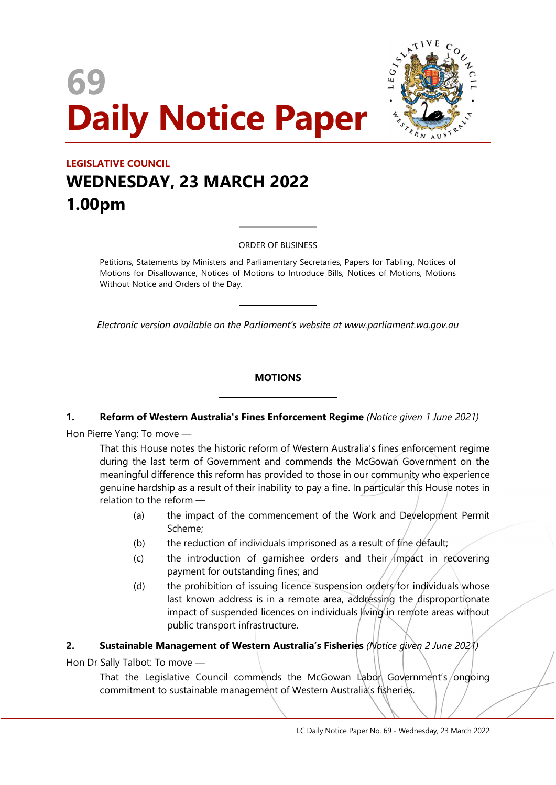# 69 Daily Notice Paper



# LEGISLATIVE COUNCIL WEDNESDAY, 23 MARCH 2022 1.00pm

ORDER OF BUSINESS

 $\overline{a}$ 

 $\overline{a}$ 

 $\overline{a}$ 

 $\overline{a}$ 

Petitions, Statements by Ministers and Parliamentary Secretaries, Papers for Tabling, Notices of Motions for Disallowance, Notices of Motions to Introduce Bills, Notices of Motions, Motions Without Notice and Orders of the Day.

Electronic version available on the Parliament's website at www.parliament.wa.gov.au

### **MOTIONS**

#### 1. Reform of Western Australia's Fines Enforcement Regime (Notice given 1 June 2021)

Hon Pierre Yang: To move —

That this House notes the historic reform of Western Australia's fines enforcement regime during the last term of Government and commends the McGowan Government on the meaningful difference this reform has provided to those in our community who experience genuine hardship as a result of their inability to pay a fine. In particular this House notes in relation to the reform —

- (a) the impact of the commencement of the Work and Development Permit Scheme;
- (b) the reduction of individuals imprisoned as a result of fine default;
- $(c)$  the introduction of garnishee orders and their impact in recovering payment for outstanding fines; and
- (d) the prohibition of issuing licence suspension orders for individuals whose last known address is in a remote area, addressing the disproportionate impact of suspended licences on individuals living in remote areas without public transport infrastructure.

# 2. Sustainable Management of Western Australia's Fisheries (Notice given 2 June 2021)

Hon Dr Sally Talbot: To move —

That the Legislative Council commends the McGowan Labon Government's/ongoing commitment to sustainable management of Western Australia's fisheries.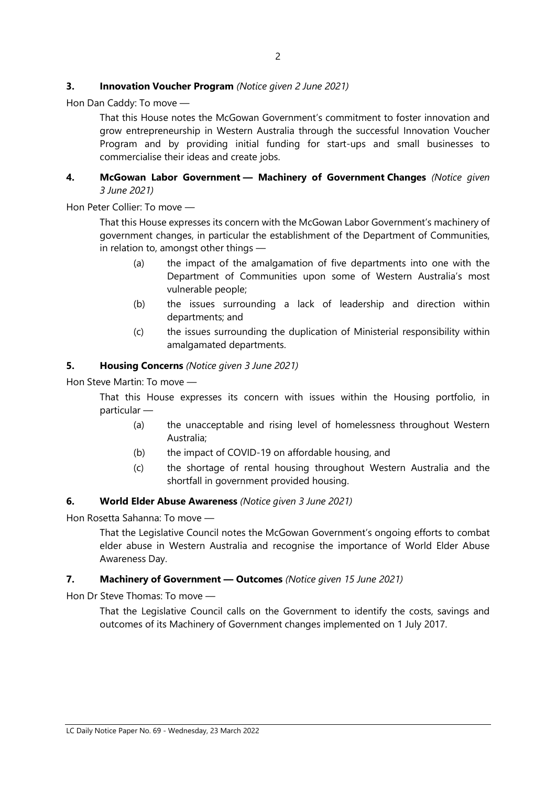### **3.** Innovation Voucher Program (Notice given 2 June 2021)

Hon Dan Caddy: To move —

That this House notes the McGowan Government's commitment to foster innovation and grow entrepreneurship in Western Australia through the successful Innovation Voucher Program and by providing initial funding for start-ups and small businesses to commercialise their ideas and create jobs.

#### 4. McGowan Labor Government - Machinery of Government Changes (Notice given 3 June 2021)

Hon Peter Collier: To move —

That this House expresses its concern with the McGowan Labor Government's machinery of government changes, in particular the establishment of the Department of Communities, in relation to, amongst other things —

- (a) the impact of the amalgamation of five departments into one with the Department of Communities upon some of Western Australia's most vulnerable people;
- (b) the issues surrounding a lack of leadership and direction within departments; and
- (c) the issues surrounding the duplication of Ministerial responsibility within amalgamated departments.

#### 5. Housing Concerns (Notice given 3 June 2021)

Hon Steve Martin: To move —

That this House expresses its concern with issues within the Housing portfolio, in particular —

- (a) the unacceptable and rising level of homelessness throughout Western Australia;
- (b) the impact of COVID-19 on affordable housing, and
- (c) the shortage of rental housing throughout Western Australia and the shortfall in government provided housing.

#### 6. World Elder Abuse Awareness (Notice given 3 June 2021)

Hon Rosetta Sahanna: To move —

That the Legislative Council notes the McGowan Government's ongoing efforts to combat elder abuse in Western Australia and recognise the importance of World Elder Abuse Awareness Day.

#### 7. Machinery of Government - Outcomes (Notice given 15 June 2021)

Hon Dr Steve Thomas: To move —

That the Legislative Council calls on the Government to identify the costs, savings and outcomes of its Machinery of Government changes implemented on 1 July 2017.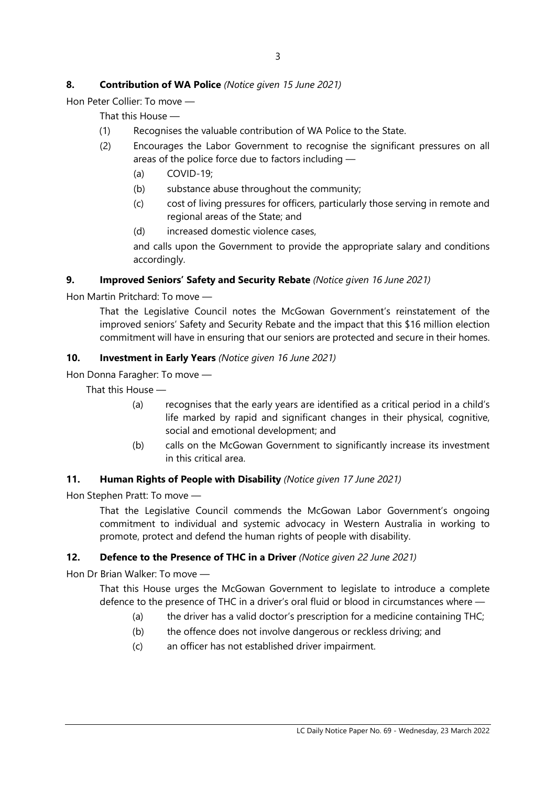# 8. Contribution of WA Police (Notice given 15 June 2021)

Hon Peter Collier: To move —

That this House —

- (1) Recognises the valuable contribution of WA Police to the State.
- (2) Encourages the Labor Government to recognise the significant pressures on all areas of the police force due to factors including —
	- (a) COVID-19;
	- (b) substance abuse throughout the community;
	- (c) cost of living pressures for officers, particularly those serving in remote and regional areas of the State; and
	- (d) increased domestic violence cases,

and calls upon the Government to provide the appropriate salary and conditions accordingly.

### 9. Improved Seniors' Safety and Security Rebate (Notice given 16 June 2021)

Hon Martin Pritchard: To move —

That the Legislative Council notes the McGowan Government's reinstatement of the improved seniors' Safety and Security Rebate and the impact that this \$16 million election commitment will have in ensuring that our seniors are protected and secure in their homes.

### 10. Investment in Early Years (Notice given 16 June 2021)

Hon Donna Faragher: To move —

That this House —

- (a) recognises that the early years are identified as a critical period in a child's life marked by rapid and significant changes in their physical, cognitive, social and emotional development; and
- (b) calls on the McGowan Government to significantly increase its investment in this critical area.

#### 11. Human Rights of People with Disability (Notice given 17 June 2021)

Hon Stephen Pratt: To move —

That the Legislative Council commends the McGowan Labor Government's ongoing commitment to individual and systemic advocacy in Western Australia in working to promote, protect and defend the human rights of people with disability.

# 12. Defence to the Presence of THC in a Driver (Notice given 22 June 2021)

Hon Dr Brian Walker: To move —

That this House urges the McGowan Government to legislate to introduce a complete defence to the presence of THC in a driver's oral fluid or blood in circumstances where —

- (a) the driver has a valid doctor's prescription for a medicine containing THC;
- (b) the offence does not involve dangerous or reckless driving; and
- (c) an officer has not established driver impairment.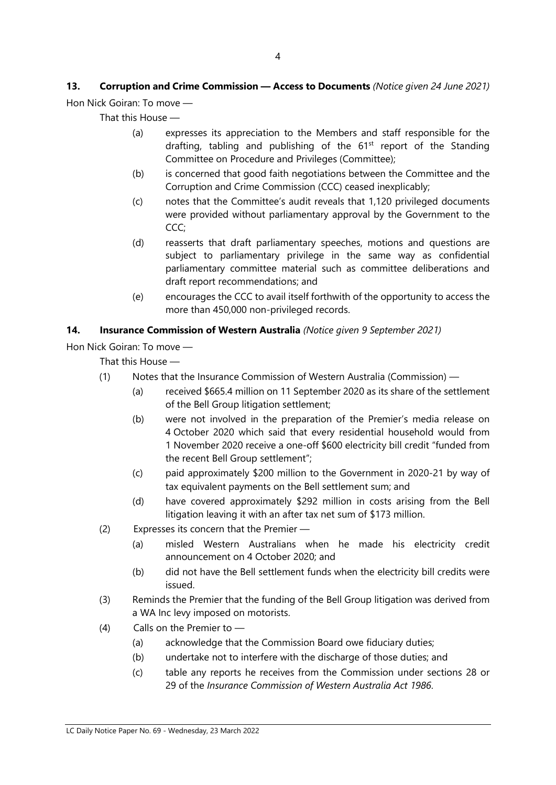# 13. Corruption and Crime Commission - Access to Documents (Notice given 24 June 2021)

Hon Nick Goiran: To move —

That this House —

- (a) expresses its appreciation to the Members and staff responsible for the drafting, tabling and publishing of the  $61<sup>st</sup>$  report of the Standing Committee on Procedure and Privileges (Committee);
- (b) is concerned that good faith negotiations between the Committee and the Corruption and Crime Commission (CCC) ceased inexplicably;
- (c) notes that the Committee's audit reveals that 1,120 privileged documents were provided without parliamentary approval by the Government to the CCC;
- (d) reasserts that draft parliamentary speeches, motions and questions are subject to parliamentary privilege in the same way as confidential parliamentary committee material such as committee deliberations and draft report recommendations; and
- (e) encourages the CCC to avail itself forthwith of the opportunity to access the more than 450,000 non-privileged records.

### 14. Insurance Commission of Western Australia (Notice given 9 September 2021)

Hon Nick Goiran: To move —

That this House —

- (1) Notes that the Insurance Commission of Western Australia (Commission)
	- (a) received \$665.4 million on 11 September 2020 as its share of the settlement of the Bell Group litigation settlement;
	- (b) were not involved in the preparation of the Premier's media release on 4 October 2020 which said that every residential household would from 1 November 2020 receive a one-off \$600 electricity bill credit "funded from the recent Bell Group settlement";
	- (c) paid approximately \$200 million to the Government in 2020-21 by way of tax equivalent payments on the Bell settlement sum; and
	- (d) have covered approximately \$292 million in costs arising from the Bell litigation leaving it with an after tax net sum of \$173 million.
- (2) Expresses its concern that the Premier
	- (a) misled Western Australians when he made his electricity credit announcement on 4 October 2020; and
	- (b) did not have the Bell settlement funds when the electricity bill credits were issued.
- (3) Reminds the Premier that the funding of the Bell Group litigation was derived from a WA Inc levy imposed on motorists.
- (4) Calls on the Premier to
	- (a) acknowledge that the Commission Board owe fiduciary duties;
	- (b) undertake not to interfere with the discharge of those duties; and
	- (c) table any reports he receives from the Commission under sections 28 or 29 of the Insurance Commission of Western Australia Act 1986.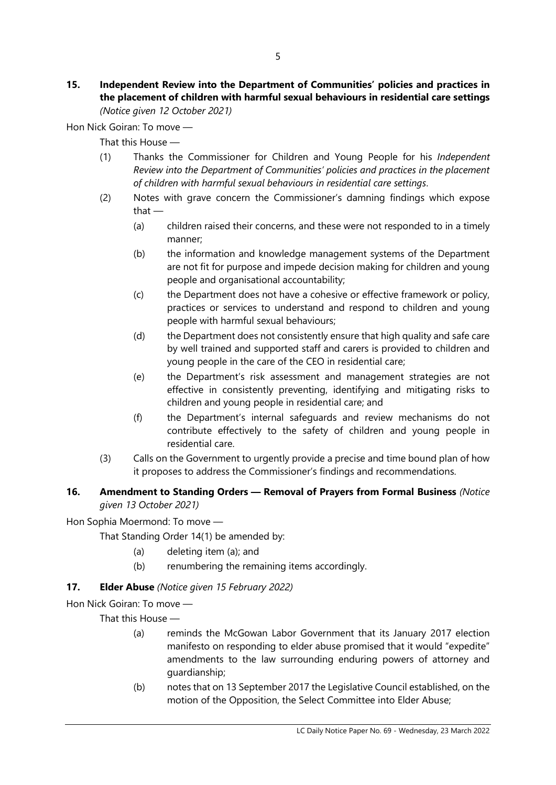#### 15. Independent Review into the Department of Communities' policies and practices in the placement of children with harmful sexual behaviours in residential care settings (Notice given 12 October 2021)

Hon Nick Goiran: To move —

That this House —

- (1) Thanks the Commissioner for Children and Young People for his Independent Review into the Department of Communities' policies and practices in the placement of children with harmful sexual behaviours in residential care settings.
- (2) Notes with grave concern the Commissioner's damning findings which expose that —
	- (a) children raised their concerns, and these were not responded to in a timely manner;
	- (b) the information and knowledge management systems of the Department are not fit for purpose and impede decision making for children and young people and organisational accountability;
	- (c) the Department does not have a cohesive or effective framework or policy, practices or services to understand and respond to children and young people with harmful sexual behaviours;
	- (d) the Department does not consistently ensure that high quality and safe care by well trained and supported staff and carers is provided to children and young people in the care of the CEO in residential care;
	- (e) the Department's risk assessment and management strategies are not effective in consistently preventing, identifying and mitigating risks to children and young people in residential care; and
	- (f) the Department's internal safeguards and review mechanisms do not contribute effectively to the safety of children and young people in residential care.
- (3) Calls on the Government to urgently provide a precise and time bound plan of how it proposes to address the Commissioner's findings and recommendations.

# 16. Amendment to Standing Orders - Removal of Prayers from Formal Business (Notice given 13 October 2021)

Hon Sophia Moermond: To move —

That Standing Order 14(1) be amended by:

- (a) deleting item (a); and
- (b) renumbering the remaining items accordingly.

# 17. **Elder Abuse** (Notice given 15 February 2022)

Hon Nick Goiran: To move —

That this House —

- (a) reminds the McGowan Labor Government that its January 2017 election manifesto on responding to elder abuse promised that it would "expedite" amendments to the law surrounding enduring powers of attorney and guardianship;
- (b) notes that on 13 September 2017 the Legislative Council established, on the motion of the Opposition, the Select Committee into Elder Abuse;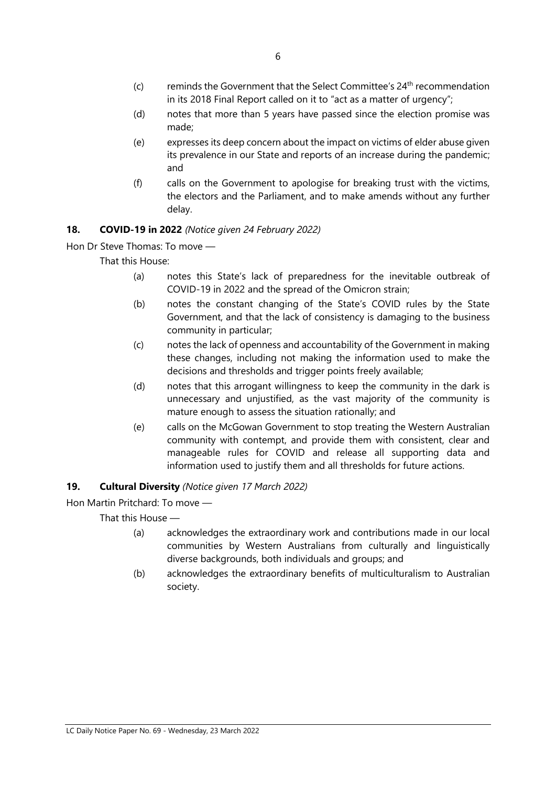- $(c)$  reminds the Government that the Select Committee's  $24<sup>th</sup>$  recommendation in its 2018 Final Report called on it to "act as a matter of urgency";
- (d) notes that more than 5 years have passed since the election promise was made;
- (e) expresses its deep concern about the impact on victims of elder abuse given its prevalence in our State and reports of an increase during the pandemic; and
- (f) calls on the Government to apologise for breaking trust with the victims, the electors and the Parliament, and to make amends without any further delay.

# 18. COVID-19 in 2022 (Notice given 24 February 2022)

Hon Dr Steve Thomas: To move —

That this House:

- (a) notes this State's lack of preparedness for the inevitable outbreak of COVID-19 in 2022 and the spread of the Omicron strain;
- (b) notes the constant changing of the State's COVID rules by the State Government, and that the lack of consistency is damaging to the business community in particular;
- (c) notes the lack of openness and accountability of the Government in making these changes, including not making the information used to make the decisions and thresholds and trigger points freely available;
- (d) notes that this arrogant willingness to keep the community in the dark is unnecessary and unjustified, as the vast majority of the community is mature enough to assess the situation rationally; and
- (e) calls on the McGowan Government to stop treating the Western Australian community with contempt, and provide them with consistent, clear and manageable rules for COVID and release all supporting data and information used to justify them and all thresholds for future actions.

# 19. Cultural Diversity (Notice given 17 March 2022)

Hon Martin Pritchard: To move —

That this House —

- (a) acknowledges the extraordinary work and contributions made in our local communities by Western Australians from culturally and linguistically diverse backgrounds, both individuals and groups; and
- (b) acknowledges the extraordinary benefits of multiculturalism to Australian society.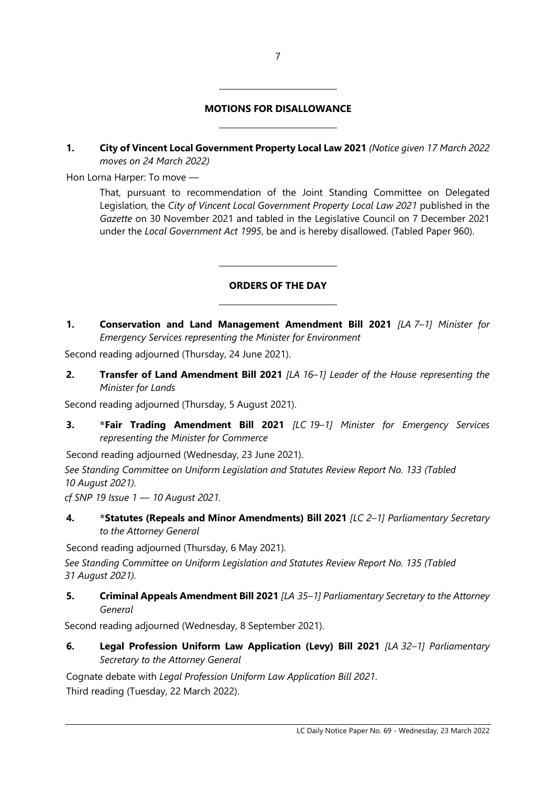# MOTIONS FOR DISALLOWANCE

 $\overline{a}$ 

 $\overline{a}$ 

 $\overline{a}$ 

 $\overline{a}$ 

1. City of Vincent Local Government Property Local Law 2021 (Notice given 17 March 2022 moves on 24 March 2022)

Hon Lorna Harper: To move —

That, pursuant to recommendation of the Joint Standing Committee on Delegated Legislation, the City of Vincent Local Government Property Local Law 2021 published in the Gazette on 30 November 2021 and tabled in the Legislative Council on 7 December 2021 under the Local Government Act 1995, be and is hereby disallowed. (Tabled Paper 960).

# ORDERS OF THE DAY

1. Conservation and Land Management Amendment Bill 2021 [LA 7-1] Minister for Emergency Services representing the Minister for Environment

Second reading adjourned (Thursday, 24 June 2021).

2. Transfer of Land Amendment Bill 2021 [LA 16-1] Leader of the House representing the Minister for Lands

Second reading adjourned (Thursday, 5 August 2021).

3. \*Fair Trading Amendment Bill 2021 [LC 19-1] Minister for Emergency Services representing the Minister for Commerce

Second reading adjourned (Wednesday, 23 June 2021).

See Standing Committee on Uniform Legislation and Statutes Review Report No. 133 (Tabled 10 August 2021).

cf SNP 19 Issue  $1 - 10$  August 2021.

4. \*Statutes (Repeals and Minor Amendments) Bill 2021 [LC 2-1] Parliamentary Secretary to the Attorney General

Second reading adjourned (Thursday, 6 May 2021).

See Standing Committee on Uniform Legislation and Statutes Review Report No. 135 (Tabled 31 August 2021).

5. Criminal Appeals Amendment Bill 2021 [LA 35-1] Parliamentary Secretary to the Attorney General

Second reading adjourned (Wednesday, 8 September 2021).

6. Legal Profession Uniform Law Application (Levy) Bill 2021 [LA 32-1] Parliamentary Secretary to the Attorney General

Cognate debate with Legal Profession Uniform Law Application Bill 2021. Third reading (Tuesday, 22 March 2022).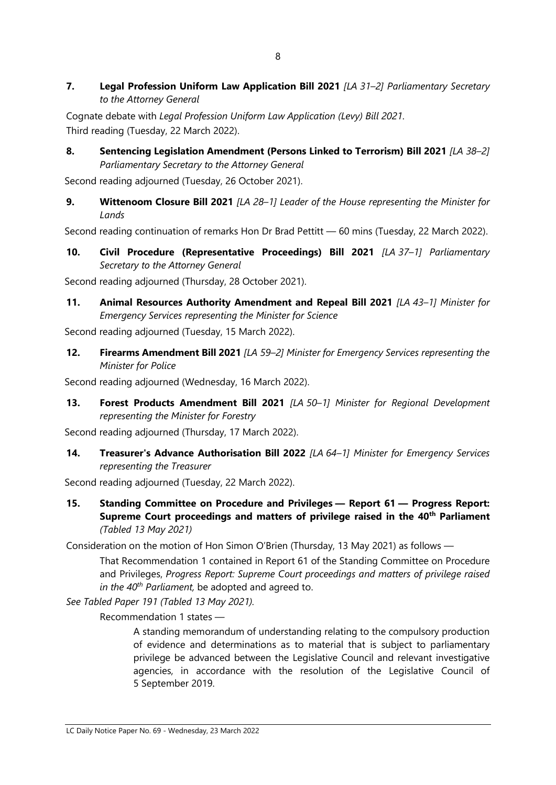7. Legal Profession Uniform Law Application Bill 2021 [LA 31-2] Parliamentary Secretary to the Attorney General

Cognate debate with Legal Profession Uniform Law Application (Levy) Bill 2021. Third reading (Tuesday, 22 March 2022).

8. Sentencing Legislation Amendment (Persons Linked to Terrorism) Bill 2021 [LA 38-2] Parliamentary Secretary to the Attorney General

Second reading adjourned (Tuesday, 26 October 2021).

9. Wittenoom Closure Bill 2021 [LA 28-1] Leader of the House representing the Minister for Lands

Second reading continuation of remarks Hon Dr Brad Pettitt — 60 mins (Tuesday, 22 March 2022).

10. Civil Procedure (Representative Proceedings) Bill 2021 [LA 37-1] Parliamentary Secretary to the Attorney General

Second reading adjourned (Thursday, 28 October 2021).

11. Animal Resources Authority Amendment and Repeal Bill 2021 [LA 43-1] Minister for Emergency Services representing the Minister for Science

Second reading adjourned (Tuesday, 15 March 2022).

12. Firearms Amendment Bill 2021 [LA 59-2] Minister for Emergency Services representing the Minister for Police

Second reading adjourned (Wednesday, 16 March 2022).

13. Forest Products Amendment Bill 2021 [LA 50-1] Minister for Regional Development representing the Minister for Forestry

Second reading adjourned (Thursday, 17 March 2022).

14. Treasurer's Advance Authorisation Bill 2022 [LA 64-1] Minister for Emergency Services representing the Treasurer

Second reading adjourned (Tuesday, 22 March 2022).

15. Standing Committee on Procedure and Privileges — Report 61 — Progress Report: Supreme Court proceedings and matters of privilege raised in the 40<sup>th</sup> Parliament (Tabled 13 May 2021)

Consideration on the motion of Hon Simon O'Brien (Thursday, 13 May 2021) as follows —

That Recommendation 1 contained in Report 61 of the Standing Committee on Procedure and Privileges, Progress Report: Supreme Court proceedings and matters of privilege raised in the  $40<sup>th</sup>$  Parliament, be adopted and agreed to.

See Tabled Paper 191 (Tabled 13 May 2021).

Recommendation 1 states —

A standing memorandum of understanding relating to the compulsory production of evidence and determinations as to material that is subject to parliamentary privilege be advanced between the Legislative Council and relevant investigative agencies, in accordance with the resolution of the Legislative Council of 5 September 2019.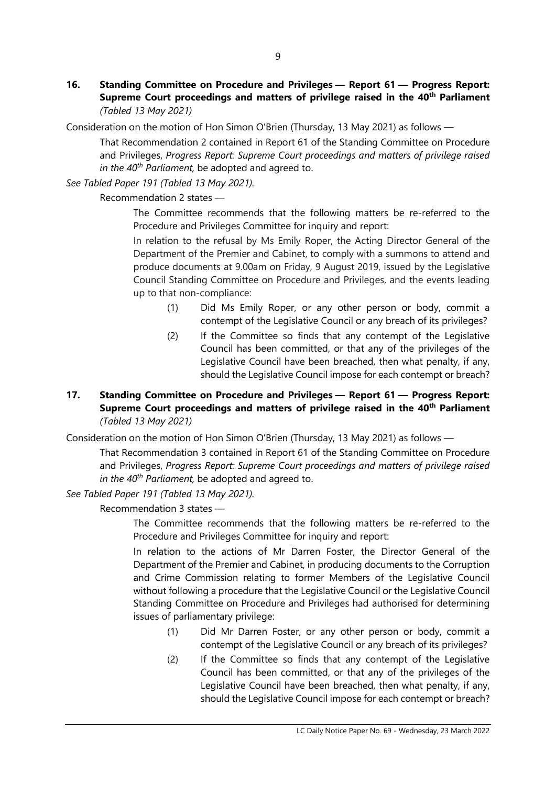16. Standing Committee on Procedure and Privileges — Report 61 — Progress Report: Supreme Court proceedings and matters of privilege raised in the 40<sup>th</sup> Parliament (Tabled 13 May 2021)

Consideration on the motion of Hon Simon O'Brien (Thursday, 13 May 2021) as follows —

That Recommendation 2 contained in Report 61 of the Standing Committee on Procedure and Privileges, Progress Report: Supreme Court proceedings and matters of privilege raised in the  $40<sup>th</sup>$  Parliament, be adopted and agreed to.

See Tabled Paper 191 (Tabled 13 May 2021).

Recommendation 2 states —

The Committee recommends that the following matters be re-referred to the Procedure and Privileges Committee for inquiry and report:

In relation to the refusal by Ms Emily Roper, the Acting Director General of the Department of the Premier and Cabinet, to comply with a summons to attend and produce documents at 9.00am on Friday, 9 August 2019, issued by the Legislative Council Standing Committee on Procedure and Privileges, and the events leading up to that non-compliance:

- (1) Did Ms Emily Roper, or any other person or body, commit a contempt of the Legislative Council or any breach of its privileges?
- (2) If the Committee so finds that any contempt of the Legislative Council has been committed, or that any of the privileges of the Legislative Council have been breached, then what penalty, if any, should the Legislative Council impose for each contempt or breach?

## 17. Standing Committee on Procedure and Privileges — Report 61 — Progress Report: Supreme Court proceedings and matters of privilege raised in the 40<sup>th</sup> Parliament (Tabled 13 May 2021)

Consideration on the motion of Hon Simon O'Brien (Thursday, 13 May 2021) as follows —

That Recommendation 3 contained in Report 61 of the Standing Committee on Procedure and Privileges, Progress Report: Supreme Court proceedings and matters of privilege raised in the  $40^{th}$  Parliament, be adopted and agreed to.

See Tabled Paper 191 (Tabled 13 May 2021).

Recommendation 3 states —

The Committee recommends that the following matters be re-referred to the Procedure and Privileges Committee for inquiry and report:

In relation to the actions of Mr Darren Foster, the Director General of the Department of the Premier and Cabinet, in producing documents to the Corruption and Crime Commission relating to former Members of the Legislative Council without following a procedure that the Legislative Council or the Legislative Council Standing Committee on Procedure and Privileges had authorised for determining issues of parliamentary privilege:

- (1) Did Mr Darren Foster, or any other person or body, commit a contempt of the Legislative Council or any breach of its privileges?
- (2) If the Committee so finds that any contempt of the Legislative Council has been committed, or that any of the privileges of the Legislative Council have been breached, then what penalty, if any, should the Legislative Council impose for each contempt or breach?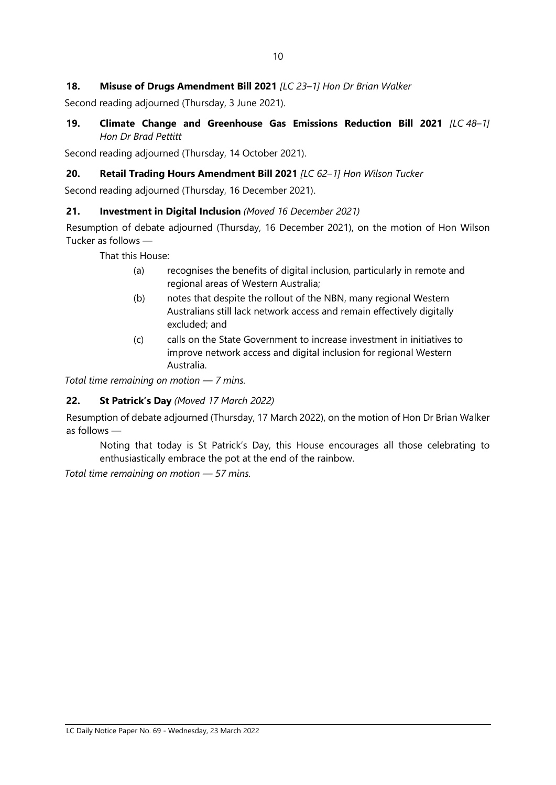## 18. Misuse of Drugs Amendment Bill 2021 [LC 23-1] Hon Dr Brian Walker

Second reading adjourned (Thursday, 3 June 2021).

19. Climate Change and Greenhouse Gas Emissions Reduction Bill 2021 [LC 48-1] Hon Dr Brad Pettitt

Second reading adjourned (Thursday, 14 October 2021).

#### 20. Retail Trading Hours Amendment Bill 2021 [LC 62-1] Hon Wilson Tucker

Second reading adjourned (Thursday, 16 December 2021).

#### 21. Investment in Digital Inclusion (Moved 16 December 2021)

Resumption of debate adjourned (Thursday, 16 December 2021), on the motion of Hon Wilson Tucker as follows —

That this House:

- (a) recognises the benefits of digital inclusion, particularly in remote and regional areas of Western Australia;
- (b) notes that despite the rollout of the NBN, many regional Western Australians still lack network access and remain effectively digitally excluded; and
- (c) calls on the State Government to increase investment in initiatives to improve network access and digital inclusion for regional Western Australia.

Total time remaining on motion — 7 mins.

#### 22. St Patrick's Day (Moved 17 March 2022)

Resumption of debate adjourned (Thursday, 17 March 2022), on the motion of Hon Dr Brian Walker as follows —

Noting that today is St Patrick's Day, this House encourages all those celebrating to enthusiastically embrace the pot at the end of the rainbow.

Total time remaining on motion — 57 mins.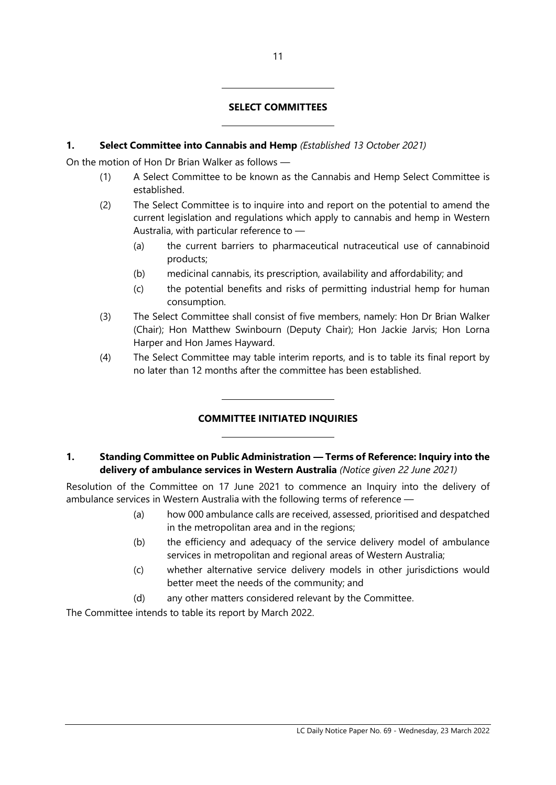#### SELECT COMMITTEES

#### 1. Select Committee into Cannabis and Hemp (Established 13 October 2021)

 $\overline{a}$ 

 $\overline{a}$ 

 $\overline{a}$ 

 $\overline{a}$ 

On the motion of Hon Dr Brian Walker as follows —

- (1) A Select Committee to be known as the Cannabis and Hemp Select Committee is established.
- (2) The Select Committee is to inquire into and report on the potential to amend the current legislation and regulations which apply to cannabis and hemp in Western Australia, with particular reference to —
	- (a) the current barriers to pharmaceutical nutraceutical use of cannabinoid products;
	- (b) medicinal cannabis, its prescription, availability and affordability; and
	- (c) the potential benefits and risks of permitting industrial hemp for human consumption.
- (3) The Select Committee shall consist of five members, namely: Hon Dr Brian Walker (Chair); Hon Matthew Swinbourn (Deputy Chair); Hon Jackie Jarvis; Hon Lorna Harper and Hon James Hayward.
- (4) The Select Committee may table interim reports, and is to table its final report by no later than 12 months after the committee has been established.

# COMMITTEE INITIATED INQUIRIES

### 1. Standing Committee on Public Administration — Terms of Reference: Inquiry into the delivery of ambulance services in Western Australia (Notice given 22 June 2021)

Resolution of the Committee on 17 June 2021 to commence an Inquiry into the delivery of ambulance services in Western Australia with the following terms of reference —

- (a) how 000 ambulance calls are received, assessed, prioritised and despatched in the metropolitan area and in the regions;
- (b) the efficiency and adequacy of the service delivery model of ambulance services in metropolitan and regional areas of Western Australia;
- (c) whether alternative service delivery models in other jurisdictions would better meet the needs of the community; and
- (d) any other matters considered relevant by the Committee.

The Committee intends to table its report by March 2022.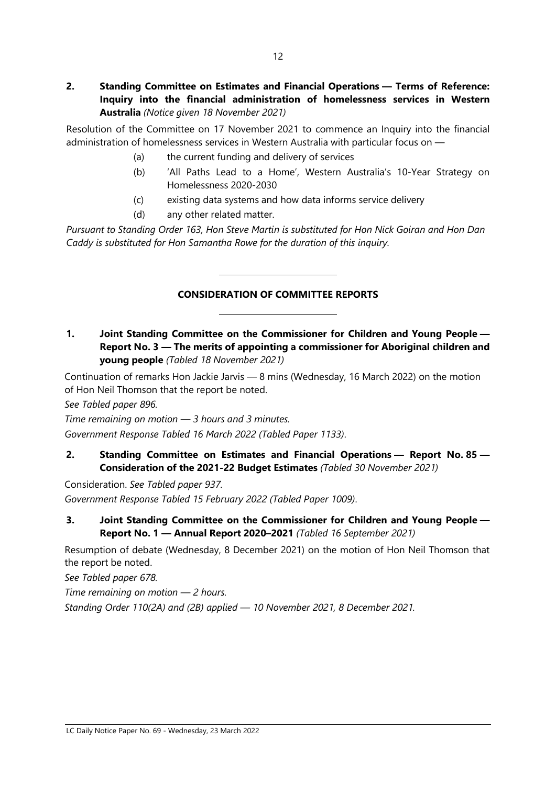Resolution of the Committee on 17 November 2021 to commence an Inquiry into the financial administration of homelessness services in Western Australia with particular focus on —

- (a) the current funding and delivery of services
- (b) 'All Paths Lead to a Home', Western Australia's 10-Year Strategy on Homelessness 2020-2030
- (c) existing data systems and how data informs service delivery
- (d) any other related matter.

 $\overline{a}$ 

 $\overline{a}$ 

Pursuant to Standing Order 163, Hon Steve Martin is substituted for Hon Nick Goiran and Hon Dan Caddy is substituted for Hon Samantha Rowe for the duration of this inquiry.

# CONSIDERATION OF COMMITTEE REPORTS

1. Joint Standing Committee on the Commissioner for Children and Young People — Report No. 3 — The merits of appointing a commissioner for Aboriginal children and young people (Tabled 18 November 2021)

Continuation of remarks Hon Jackie Jarvis — 8 mins (Wednesday, 16 March 2022) on the motion of Hon Neil Thomson that the report be noted.

See Tabled paper 896.

Time remaining on motion — 3 hours and 3 minutes. Government Response Tabled 16 March 2022 (Tabled Paper 1133).

2. Standing Committee on Estimates and Financial Operations — Report No. 85 — Consideration of the 2021-22 Budget Estimates (Tabled 30 November 2021)

Consideration. See Tabled paper 937. Government Response Tabled 15 February 2022 (Tabled Paper 1009).

3. Joint Standing Committee on the Commissioner for Children and Young People — Report No. 1 — Annual Report 2020–2021 (Tabled 16 September 2021)

Resumption of debate (Wednesday, 8 December 2021) on the motion of Hon Neil Thomson that the report be noted.

See Tabled paper 678.

Time remaining on motion  $-2$  hours.

Standing Order 110(2A) and (2B) applied — 10 November 2021, 8 December 2021.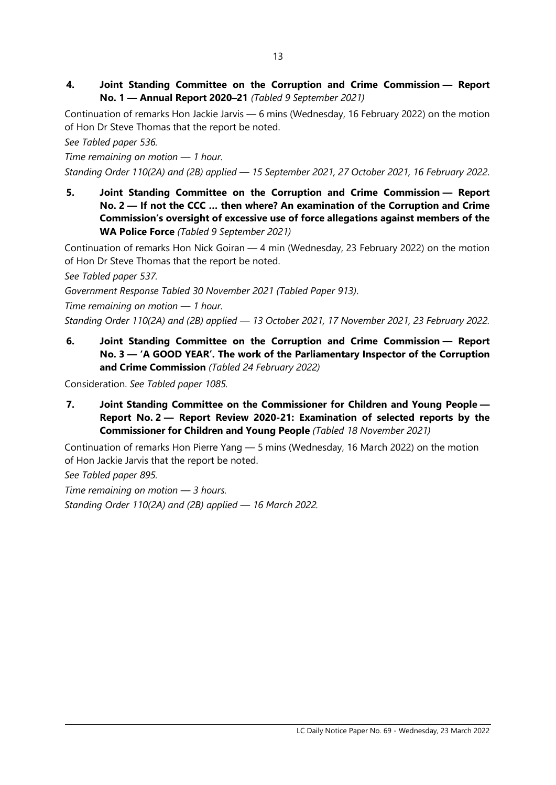4. Joint Standing Committee on the Corruption and Crime Commission — Report No. 1 — Annual Report 2020–21 (Tabled 9 September 2021)

Continuation of remarks Hon Jackie Jarvis — 6 mins (Wednesday, 16 February 2022) on the motion of Hon Dr Steve Thomas that the report be noted.

See Tabled paper 536.

Time remaining on motion — 1 hour.

- Standing Order 110(2A) and (2B) applied 15 September 2021, 27 October 2021, 16 February 2022.
- 5. Joint Standing Committee on the Corruption and Crime Commission Report No. 2 — If not the CCC … then where? An examination of the Corruption and Crime Commission's oversight of excessive use of force allegations against members of the WA Police Force (Tabled 9 September 2021)

Continuation of remarks Hon Nick Goiran — 4 min (Wednesday, 23 February 2022) on the motion of Hon Dr Steve Thomas that the report be noted.

See Tabled paper 537.

Government Response Tabled 30 November 2021 (Tabled Paper 913).

Time remaining on motion — 1 hour.

Standing Order 110(2A) and (2B) applied — 13 October 2021, 17 November 2021, 23 February 2022.

6. Joint Standing Committee on the Corruption and Crime Commission — Report No. 3 — 'A GOOD YEAR'. The work of the Parliamentary Inspector of the Corruption and Crime Commission (Tabled 24 February 2022)

Consideration. See Tabled paper 1085.

7. Joint Standing Committee on the Commissioner for Children and Young People — Report No. 2 — Report Review 2020-21: Examination of selected reports by the Commissioner for Children and Young People (Tabled 18 November 2021)

Continuation of remarks Hon Pierre Yang — 5 mins (Wednesday, 16 March 2022) on the motion of Hon Jackie Jarvis that the report be noted.

See Tabled paper 895.

Time remaining on motion  $-$  3 hours. Standing Order 110(2A) and (2B) applied — 16 March 2022.